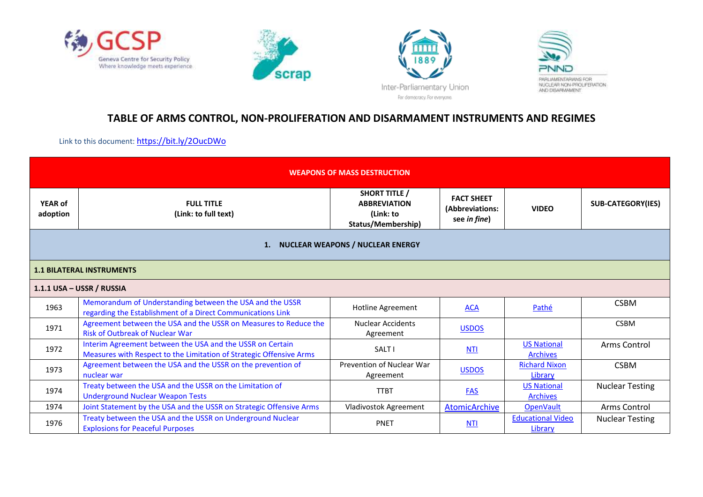







## **TABLE OF ARMS CONTROL, NON-PROLIFERATION AND DISARMAMENT INSTRUMENTS AND REGIMES**

Link to this document: <https://bit.ly/2OucDWo>

| <b>WEAPONS OF MASS DESTRUCTION</b>  |                                                                                                                                  |                                                                                |                                                      |                                       |                          |  |  |  |
|-------------------------------------|----------------------------------------------------------------------------------------------------------------------------------|--------------------------------------------------------------------------------|------------------------------------------------------|---------------------------------------|--------------------------|--|--|--|
| <b>YEAR of</b><br>adoption          | <b>FULL TITLE</b><br>(Link: to full text)                                                                                        | <b>SHORT TITLE /</b><br><b>ABBREVIATION</b><br>(Link: to<br>Status/Membership) | <b>FACT SHEET</b><br>(Abbreviations:<br>see in fine) | <b>VIDEO</b>                          | <b>SUB-CATEGORY(IES)</b> |  |  |  |
| 1. NUCLEAR WEAPONS / NUCLEAR ENERGY |                                                                                                                                  |                                                                                |                                                      |                                       |                          |  |  |  |
|                                     | <b>1.1 BILATERAL INSTRUMENTS</b>                                                                                                 |                                                                                |                                                      |                                       |                          |  |  |  |
|                                     | 1.1.1 USA - USSR / RUSSIA                                                                                                        |                                                                                |                                                      |                                       |                          |  |  |  |
| 1963                                | Memorandum of Understanding between the USA and the USSR<br>regarding the Establishment of a Direct Communications Link          | <b>Hotline Agreement</b>                                                       | <b>ACA</b>                                           | Pathé                                 | <b>CSBM</b>              |  |  |  |
| 1971                                | Agreement between the USA and the USSR on Measures to Reduce the<br><b>Risk of Outbreak of Nuclear War</b>                       | <b>Nuclear Accidents</b><br>Agreement                                          | <b>USDOS</b>                                         |                                       | <b>CSBM</b>              |  |  |  |
| 1972                                | Interim Agreement between the USA and the USSR on Certain<br>Measures with Respect to the Limitation of Strategic Offensive Arms | SALT I                                                                         | <b>NTI</b>                                           | <b>US National</b><br><b>Archives</b> | Arms Control             |  |  |  |
| 1973                                | Agreement between the USA and the USSR on the prevention of<br>nuclear war                                                       | Prevention of Nuclear War<br>Agreement                                         | <b>USDOS</b>                                         | <b>Richard Nixon</b><br>Library       | <b>CSBM</b>              |  |  |  |
| 1974                                | Treaty between the USA and the USSR on the Limitation of<br><b>Underground Nuclear Weapon Tests</b>                              | <b>TTBT</b>                                                                    | <b>FAS</b>                                           | <b>US National</b><br><b>Archives</b> | <b>Nuclear Testing</b>   |  |  |  |
| 1974                                | Joint Statement by the USA and the USSR on Strategic Offensive Arms                                                              | Vladivostok Agreement                                                          | AtomicArchive                                        | <b>OpenVault</b>                      | Arms Control             |  |  |  |
| 1976                                | Treaty between the USA and the USSR on Underground Nuclear<br><b>Explosions for Peaceful Purposes</b>                            | <b>PNET</b>                                                                    | <b>NTI</b>                                           | <b>Educational Video</b><br>Library   | <b>Nuclear Testing</b>   |  |  |  |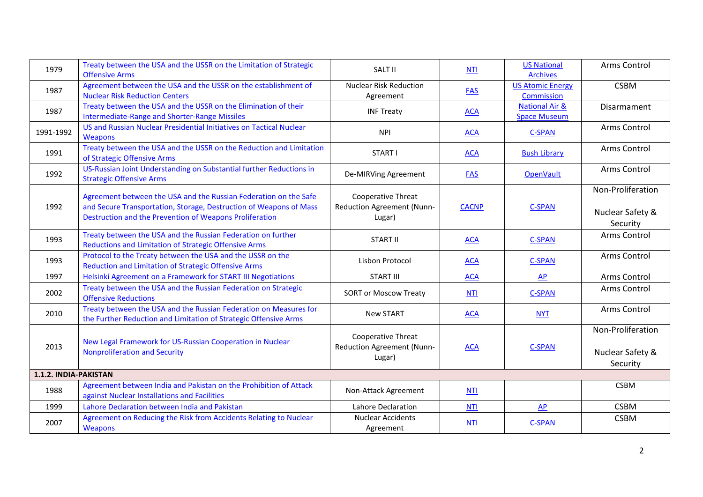| 1979                  | Treaty between the USA and the USSR on the Limitation of Strategic<br><b>Offensive Arms</b>                                                                                                       | SALT II                                                    | <b>NTI</b>   | <b>US National</b><br><b>Archives</b>            | <b>Arms Control</b>                               |
|-----------------------|---------------------------------------------------------------------------------------------------------------------------------------------------------------------------------------------------|------------------------------------------------------------|--------------|--------------------------------------------------|---------------------------------------------------|
| 1987                  | Agreement between the USA and the USSR on the establishment of<br><b>Nuclear Risk Reduction Centers</b>                                                                                           | <b>Nuclear Risk Reduction</b><br>Agreement                 | <b>FAS</b>   | <b>US Atomic Energy</b><br>Commission            | <b>CSBM</b>                                       |
| 1987                  | Treaty between the USA and the USSR on the Elimination of their<br><b>Intermediate-Range and Shorter-Range Missiles</b>                                                                           | <b>INF Treaty</b>                                          | <b>ACA</b>   | <b>National Air &amp;</b><br><b>Space Museum</b> | <b>Disarmament</b>                                |
| 1991-1992             | US and Russian Nuclear Presidential Initiatives on Tactical Nuclear<br><b>Weapons</b>                                                                                                             | <b>NPI</b>                                                 | <b>ACA</b>   | <b>C-SPAN</b>                                    | Arms Control                                      |
| 1991                  | Treaty between the USA and the USSR on the Reduction and Limitation<br>of Strategic Offensive Arms                                                                                                | START I                                                    | <b>ACA</b>   | <b>Bush Library</b>                              | Arms Control                                      |
| 1992                  | US-Russian Joint Understanding on Substantial further Reductions in<br><b>Strategic Offensive Arms</b>                                                                                            | De-MIRVing Agreement                                       | <b>FAS</b>   | <b>OpenVault</b>                                 | Arms Control                                      |
| 1992                  | Agreement between the USA and the Russian Federation on the Safe<br>and Secure Transportation, Storage, Destruction of Weapons of Mass<br>Destruction and the Prevention of Weapons Proliferation | Cooperative Threat<br>Reduction Agreement (Nunn-<br>Lugar) | <b>CACNP</b> | <b>C-SPAN</b>                                    | Non-Proliferation<br>Nuclear Safety &<br>Security |
| 1993                  | Treaty between the USA and the Russian Federation on further<br>Reductions and Limitation of Strategic Offensive Arms                                                                             | <b>START II</b>                                            | <b>ACA</b>   | <b>C-SPAN</b>                                    | Arms Control                                      |
| 1993                  | Protocol to the Treaty between the USA and the USSR on the<br><b>Reduction and Limitation of Strategic Offensive Arms</b>                                                                         | Lisbon Protocol                                            | <b>ACA</b>   | <b>C-SPAN</b>                                    | Arms Control                                      |
| 1997                  | Helsinki Agreement on a Framework for START III Negotiations                                                                                                                                      | <b>START III</b>                                           | <b>ACA</b>   | AP                                               | Arms Control                                      |
| 2002                  | Treaty between the USA and the Russian Federation on Strategic<br><b>Offensive Reductions</b>                                                                                                     | <b>SORT or Moscow Treaty</b>                               | <b>NTI</b>   | C-SPAN                                           | Arms Control                                      |
| 2010                  | Treaty between the USA and the Russian Federation on Measures for<br>the Further Reduction and Limitation of Strategic Offensive Arms                                                             | <b>New START</b>                                           | <b>ACA</b>   | <b>NYT</b>                                       | Arms Control                                      |
| 2013                  | New Legal Framework for US-Russian Cooperation in Nuclear<br><b>Nonproliferation and Security</b>                                                                                                 | Cooperative Threat<br>Reduction Agreement (Nunn-<br>Lugar) | <b>ACA</b>   | <b>C-SPAN</b>                                    | Non-Proliferation<br>Nuclear Safety &<br>Security |
| 1.1.2. INDIA-PAKISTAN |                                                                                                                                                                                                   |                                                            |              |                                                  |                                                   |
| 1988                  | Agreement between India and Pakistan on the Prohibition of Attack<br>against Nuclear Installations and Facilities                                                                                 | Non-Attack Agreement                                       | <b>NTI</b>   |                                                  | <b>CSBM</b>                                       |
| 1999                  | Lahore Declaration between India and Pakistan                                                                                                                                                     | Lahore Declaration                                         | <b>NTI</b>   | <b>AP</b>                                        | <b>CSBM</b>                                       |
| 2007                  | Agreement on Reducing the Risk from Accidents Relating to Nuclear<br>Weapons                                                                                                                      | <b>Nuclear Accidents</b><br>Agreement                      | NTI          | <b>C-SPAN</b>                                    | <b>CSBM</b>                                       |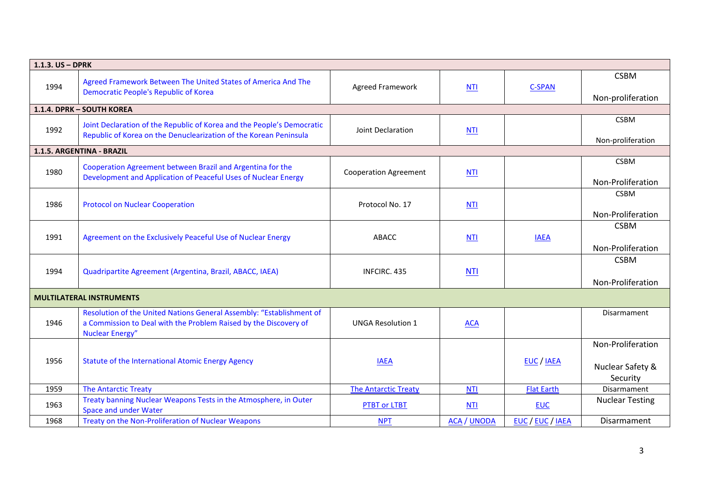| 1.1.3. US - DPRK |                                                                                                                                                                    |                              |                    |                   |                                                   |
|------------------|--------------------------------------------------------------------------------------------------------------------------------------------------------------------|------------------------------|--------------------|-------------------|---------------------------------------------------|
| 1994             | Agreed Framework Between The United States of America And The<br><b>Democratic People's Republic of Korea</b>                                                      | <b>Agreed Framework</b>      | <b>NTI</b>         | <b>C-SPAN</b>     | <b>CSBM</b>                                       |
|                  |                                                                                                                                                                    |                              |                    |                   | Non-proliferation                                 |
|                  | 1.1.4. DPRK - SOUTH KOREA                                                                                                                                          |                              |                    |                   |                                                   |
| 1992             | Joint Declaration of the Republic of Korea and the People's Democratic<br>Republic of Korea on the Denuclearization of the Korean Peninsula                        | Joint Declaration            | <b>NTI</b>         |                   | <b>CSBM</b><br>Non-proliferation                  |
|                  | 1.1.5. ARGENTINA - BRAZIL                                                                                                                                          |                              |                    |                   |                                                   |
| 1980             | Cooperation Agreement between Brazil and Argentina for the<br>Development and Application of Peaceful Uses of Nuclear Energy                                       | <b>Cooperation Agreement</b> | <b>NTI</b>         |                   | <b>CSBM</b><br>Non-Proliferation                  |
| 1986             | <b>Protocol on Nuclear Cooperation</b>                                                                                                                             | Protocol No. 17              | <b>NTI</b>         |                   | <b>CSBM</b><br>Non-Proliferation                  |
| 1991             | Agreement on the Exclusively Peaceful Use of Nuclear Energy                                                                                                        | <b>ABACC</b>                 | <b>NTI</b>         | <b>IAEA</b>       | <b>CSBM</b><br>Non-Proliferation                  |
| 1994             | Quadripartite Agreement (Argentina, Brazil, ABACC, IAEA)                                                                                                           | INFCIRC. 435                 | <b>NTI</b>         |                   | <b>CSBM</b><br>Non-Proliferation                  |
|                  | <b>MULTILATERAL INSTRUMENTS</b>                                                                                                                                    |                              |                    |                   |                                                   |
| 1946             | Resolution of the United Nations General Assembly: "Establishment of<br>a Commission to Deal with the Problem Raised by the Discovery of<br><b>Nuclear Energy"</b> | <b>UNGA Resolution 1</b>     | <b>ACA</b>         |                   | <b>Disarmament</b>                                |
| 1956             | Statute of the International Atomic Energy Agency                                                                                                                  | <b>IAEA</b>                  |                    | EUC / IAEA        | Non-Proliferation<br>Nuclear Safety &<br>Security |
| 1959             | <b>The Antarctic Treaty</b>                                                                                                                                        | <b>The Antarctic Treaty</b>  | <b>NTI</b>         | <b>Flat Earth</b> | Disarmament                                       |
| 1963             | Treaty banning Nuclear Weapons Tests in the Atmosphere, in Outer<br><b>Space and under Water</b>                                                                   | <b>PTBT or LTBT</b>          | <b>NTI</b>         | <b>EUC</b>        | <b>Nuclear Testing</b>                            |
| 1968             | Treaty on the Non-Proliferation of Nuclear Weapons                                                                                                                 | <b>NPT</b>                   | <b>ACA / UNODA</b> | EUC / EUC / IAEA  | Disarmament                                       |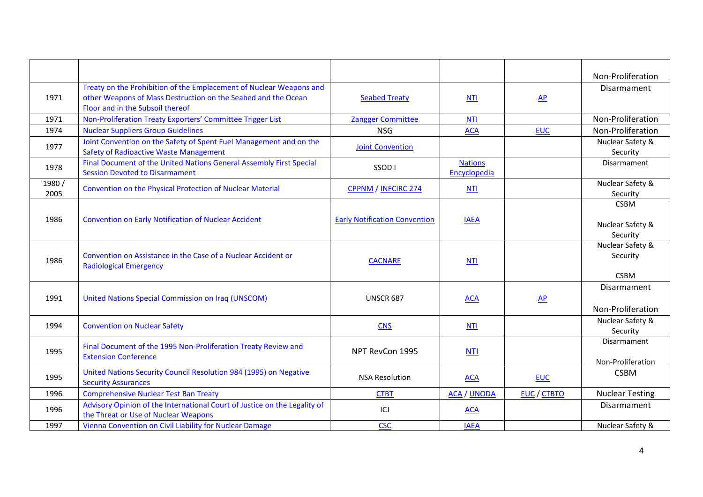|               |                                                                                                                                                                          |                                      |                                |              | Non-Proliferation                           |
|---------------|--------------------------------------------------------------------------------------------------------------------------------------------------------------------------|--------------------------------------|--------------------------------|--------------|---------------------------------------------|
| 1971          | Treaty on the Prohibition of the Emplacement of Nuclear Weapons and<br>other Weapons of Mass Destruction on the Seabed and the Ocean<br>Floor and in the Subsoil thereof | <b>Seabed Treaty</b>                 | <b>NTI</b>                     | $\mathbf{A}$ | Disarmament                                 |
| 1971          | Non-Proliferation Treaty Exporters' Committee Trigger List                                                                                                               | <b>Zangger Committee</b>             | <b>NTI</b>                     |              | Non-Proliferation                           |
| 1974          | <b>Nuclear Suppliers Group Guidelines</b>                                                                                                                                | <b>NSG</b>                           | <b>ACA</b>                     | <b>EUC</b>   | Non-Proliferation                           |
| 1977          | Joint Convention on the Safety of Spent Fuel Management and on the<br><b>Safety of Radioactive Waste Management</b>                                                      | <b>Joint Convention</b>              |                                |              | Nuclear Safety &<br>Security                |
| 1978          | Final Document of the United Nations General Assembly First Special<br><b>Session Devoted to Disarmament</b>                                                             | SSOD <sub>1</sub>                    | <b>Nations</b><br>Encyclopedia |              | Disarmament                                 |
| 1980/<br>2005 | Convention on the Physical Protection of Nuclear Material                                                                                                                | CPPNM / INFCIRC 274                  | <b>NTI</b>                     |              | Nuclear Safety &<br>Security                |
| 1986          | <b>Convention on Early Notification of Nuclear Accident</b>                                                                                                              | <b>Early Notification Convention</b> | <b>IAEA</b>                    |              | <b>CSBM</b><br>Nuclear Safety &<br>Security |
| 1986          | Convention on Assistance in the Case of a Nuclear Accident or<br><b>Radiological Emergency</b>                                                                           | <b>CACNARE</b>                       | <b>NTI</b>                     |              | Nuclear Safety &<br>Security<br><b>CSBM</b> |
| 1991          | United Nations Special Commission on Iraq (UNSCOM)                                                                                                                       | <b>UNSCR 687</b>                     | <b>ACA</b>                     | AP           | Disarmament<br>Non-Proliferation            |
| 1994          | <b>Convention on Nuclear Safety</b>                                                                                                                                      | <b>CNS</b>                           | NTI                            |              | Nuclear Safety &<br>Security                |
| 1995          | Final Document of the 1995 Non-Proliferation Treaty Review and<br><b>Extension Conference</b>                                                                            | NPT RevCon 1995                      | <b>NTI</b>                     |              | Disarmament<br>Non-Proliferation            |
| 1995          | United Nations Security Council Resolution 984 (1995) on Negative<br><b>Security Assurances</b>                                                                          | <b>NSA Resolution</b>                | <b>ACA</b>                     | <b>EUC</b>   | <b>CSBM</b>                                 |
| 1996          | <b>Comprehensive Nuclear Test Ban Treaty</b>                                                                                                                             | <b>CTBT</b>                          | <b>ACA / UNODA</b>             | EUC / CTBTO  | <b>Nuclear Testing</b>                      |
| 1996          | Advisory Opinion of the International Court of Justice on the Legality of<br>the Threat or Use of Nuclear Weapons                                                        | ICJ                                  | <b>ACA</b>                     |              | Disarmament                                 |
| 1997          | Vienna Convention on Civil Liability for Nuclear Damage                                                                                                                  | <b>CSC</b>                           | <b>IAEA</b>                    |              | Nuclear Safety &                            |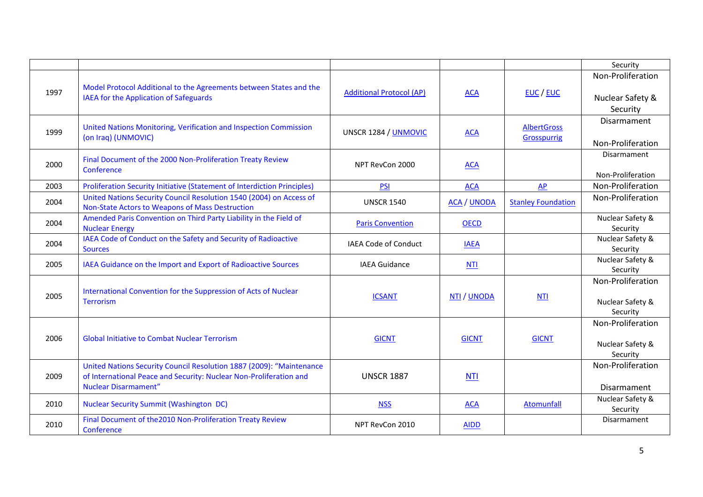|      |                                                                                                                                                                           |                                 |                    |                                   | Security                                          |
|------|---------------------------------------------------------------------------------------------------------------------------------------------------------------------------|---------------------------------|--------------------|-----------------------------------|---------------------------------------------------|
| 1997 | Model Protocol Additional to the Agreements between States and the<br>IAEA for the Application of Safeguards                                                              | <b>Additional Protocol (AP)</b> | <b>ACA</b>         | EUC / EUC                         | Non-Proliferation<br>Nuclear Safety &<br>Security |
| 1999 | United Nations Monitoring, Verification and Inspection Commission<br>(on Iraq) (UNMOVIC)                                                                                  | UNSCR 1284 / UNMOVIC            | <b>ACA</b>         | <b>AlbertGross</b><br>Grosspurrig | <b>Disarmament</b><br>Non-Proliferation           |
| 2000 | Final Document of the 2000 Non-Proliferation Treaty Review<br>Conference                                                                                                  | NPT RevCon 2000                 | <b>ACA</b>         |                                   | Disarmament<br>Non-Proliferation                  |
| 2003 | Proliferation Security Initiative (Statement of Interdiction Principles)                                                                                                  | <b>PSI</b>                      | <b>ACA</b>         | AP                                | Non-Proliferation                                 |
| 2004 | United Nations Security Council Resolution 1540 (2004) on Access of<br>Non-State Actors to Weapons of Mass Destruction                                                    | <b>UNSCR 1540</b>               | <b>ACA / UNODA</b> | <b>Stanley Foundation</b>         | Non-Proliferation                                 |
| 2004 | Amended Paris Convention on Third Party Liability in the Field of<br><b>Nuclear Energy</b>                                                                                | <b>Paris Convention</b>         | <b>OECD</b>        |                                   | Nuclear Safety &<br>Security                      |
| 2004 | IAEA Code of Conduct on the Safety and Security of Radioactive<br><b>Sources</b>                                                                                          | IAEA Code of Conduct            | <b>IAEA</b>        |                                   | Nuclear Safety &<br>Security                      |
| 2005 | IAEA Guidance on the Import and Export of Radioactive Sources                                                                                                             | <b>IAEA Guidance</b>            | <b>NTI</b>         |                                   | Nuclear Safety &<br>Security                      |
| 2005 | International Convention for the Suppression of Acts of Nuclear<br><b>Terrorism</b>                                                                                       | <b>ICSANT</b>                   | NTI / UNODA        | <b>NTI</b>                        | Non-Proliferation<br>Nuclear Safety &<br>Security |
| 2006 | <b>Global Initiative to Combat Nuclear Terrorism</b>                                                                                                                      | <b>GICNT</b>                    | <b>GICNT</b>       | <b>GICNT</b>                      | Non-Proliferation<br>Nuclear Safety &<br>Security |
| 2009 | United Nations Security Council Resolution 1887 (2009): "Maintenance<br>of International Peace and Security: Nuclear Non-Proliferation and<br><b>Nuclear Disarmament"</b> | <b>UNSCR 1887</b>               | <b>NTI</b>         |                                   | Non-Proliferation<br><b>Disarmament</b>           |
| 2010 | <b>Nuclear Security Summit (Washington DC)</b>                                                                                                                            | <b>NSS</b>                      | <b>ACA</b>         | Atomunfall                        | Nuclear Safety &<br>Security                      |
| 2010 | Final Document of the 2010 Non-Proliferation Treaty Review<br>Conference                                                                                                  | NPT RevCon 2010                 | <b>AIDD</b>        |                                   | Disarmament                                       |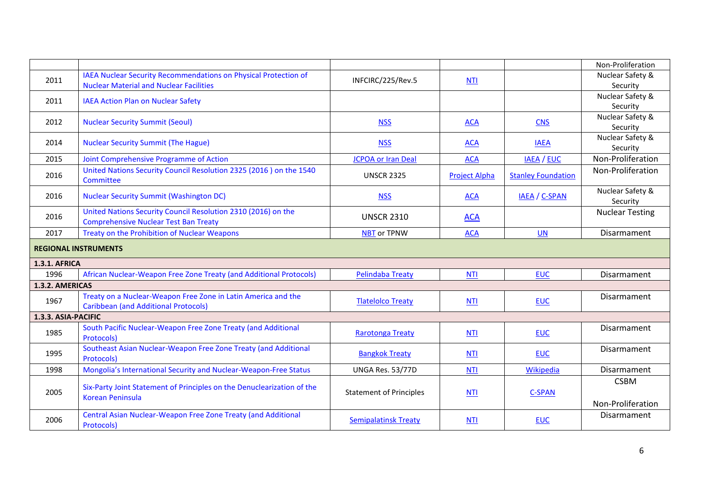|                             |                                                                                                                   |                                |                      |                           | Non-Proliferation                |  |  |
|-----------------------------|-------------------------------------------------------------------------------------------------------------------|--------------------------------|----------------------|---------------------------|----------------------------------|--|--|
| 2011                        | IAEA Nuclear Security Recommendations on Physical Protection of<br><b>Nuclear Material and Nuclear Facilities</b> | INFCIRC/225/Rev.5              | <b>NTI</b>           |                           | Nuclear Safety &<br>Security     |  |  |
| 2011                        | <b>IAEA Action Plan on Nuclear Safety</b>                                                                         |                                |                      |                           | Nuclear Safety &<br>Security     |  |  |
| 2012                        | <b>Nuclear Security Summit (Seoul)</b>                                                                            | <b>NSS</b>                     | <b>ACA</b>           | <b>CNS</b>                | Nuclear Safety &<br>Security     |  |  |
| 2014                        | <b>Nuclear Security Summit (The Hague)</b>                                                                        | <b>NSS</b>                     | <b>ACA</b>           | <b>IAEA</b>               | Nuclear Safety &<br>Security     |  |  |
| 2015                        | Joint Comprehensive Programme of Action                                                                           | <b>JCPOA or Iran Deal</b>      | <b>ACA</b>           | <b>IAEA / EUC</b>         | Non-Proliferation                |  |  |
| 2016                        | United Nations Security Council Resolution 2325 (2016) on the 1540<br>Committee                                   | <b>UNSCR 2325</b>              | <b>Project Alpha</b> | <b>Stanley Foundation</b> | Non-Proliferation                |  |  |
| 2016                        | <b>Nuclear Security Summit (Washington DC)</b>                                                                    | <b>NSS</b>                     | <b>ACA</b>           | <b>IAEA / C-SPAN</b>      | Nuclear Safety &<br>Security     |  |  |
| 2016                        | United Nations Security Council Resolution 2310 (2016) on the<br><b>Comprehensive Nuclear Test Ban Treaty</b>     | <b>UNSCR 2310</b>              | <b>ACA</b>           |                           | <b>Nuclear Testing</b>           |  |  |
| 2017                        | Treaty on the Prohibition of Nuclear Weapons                                                                      | <b>NBT</b> or TPNW             | <b>ACA</b>           | <b>UN</b>                 | Disarmament                      |  |  |
| <b>REGIONAL INSTRUMENTS</b> |                                                                                                                   |                                |                      |                           |                                  |  |  |
| <b>1.3.1. AFRICA</b>        |                                                                                                                   |                                |                      |                           |                                  |  |  |
| 1996                        | African Nuclear-Weapon Free Zone Treaty (and Additional Protocols)                                                | <b>Pelindaba Treaty</b>        | <b>NTI</b>           | <b>EUC</b>                | Disarmament                      |  |  |
| 1.3.2. AMERICAS             |                                                                                                                   |                                |                      |                           |                                  |  |  |
| 1967                        | Treaty on a Nuclear-Weapon Free Zone in Latin America and the<br><b>Caribbean (and Additional Protocols)</b>      | <b>Tlatelolco Treaty</b>       | <b>NTI</b>           | <b>EUC</b>                | Disarmament                      |  |  |
| 1.3.3. ASIA-PACIFIC         |                                                                                                                   |                                |                      |                           |                                  |  |  |
| 1985                        | South Pacific Nuclear-Weapon Free Zone Treaty (and Additional<br>Protocols)                                       | <b>Rarotonga Treaty</b>        | <b>NTI</b>           | <b>EUC</b>                | Disarmament                      |  |  |
| 1995                        | Southeast Asian Nuclear-Weapon Free Zone Treaty (and Additional<br>Protocols)                                     | <b>Bangkok Treaty</b>          | <b>NTI</b>           | <b>EUC</b>                | Disarmament                      |  |  |
| 1998                        | Mongolia's International Security and Nuclear-Weapon-Free Status                                                  | UNGA Res. 53/77D               | <b>NTI</b>           | Wikipedia                 | Disarmament                      |  |  |
| 2005                        | Six-Party Joint Statement of Principles on the Denuclearization of the<br><b>Korean Peninsula</b>                 | <b>Statement of Principles</b> | <b>NTI</b>           | C-SPAN                    | <b>CSBM</b><br>Non-Proliferation |  |  |
| 2006                        | Central Asian Nuclear-Weapon Free Zone Treaty (and Additional<br>Protocols)                                       | <b>Semipalatinsk Treaty</b>    | <b>NTI</b>           | <b>EUC</b>                | Disarmament                      |  |  |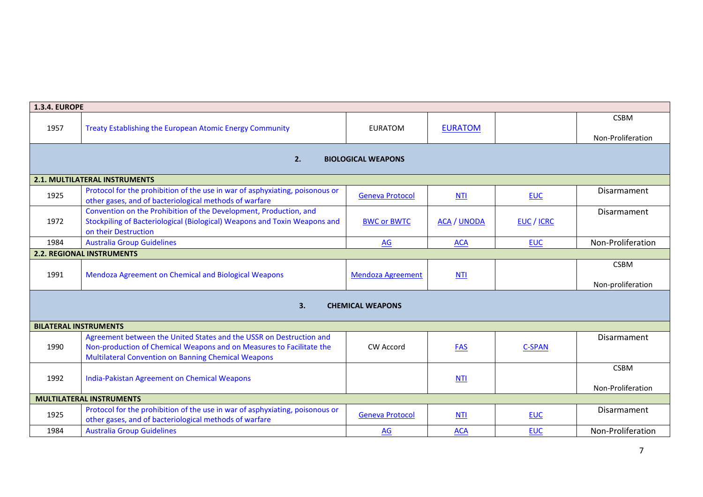|                                 | <b>1.3.4. EUROPE</b>                                                                                                                                                                                      |                          |                    |                          |                                  |  |  |  |
|---------------------------------|-----------------------------------------------------------------------------------------------------------------------------------------------------------------------------------------------------------|--------------------------|--------------------|--------------------------|----------------------------------|--|--|--|
| 1957                            | Treaty Establishing the European Atomic Energy Community                                                                                                                                                  | <b>EURATOM</b>           | <b>EURATOM</b>     |                          | <b>CSBM</b><br>Non-Proliferation |  |  |  |
| 2.<br><b>BIOLOGICAL WEAPONS</b> |                                                                                                                                                                                                           |                          |                    |                          |                                  |  |  |  |
|                                 | <b>2.1. MULTILATERAL INSTRUMENTS</b>                                                                                                                                                                      |                          |                    |                          |                                  |  |  |  |
| 1925                            | Protocol for the prohibition of the use in war of asphyxiating, poisonous or<br>other gases, and of bacteriological methods of warfare                                                                    | <b>Geneva Protocol</b>   | <b>NTI</b>         | <b>EUC</b>               | Disarmament                      |  |  |  |
| 1972                            | Convention on the Prohibition of the Development, Production, and<br>Stockpiling of Bacteriological (Biological) Weapons and Toxin Weapons and<br>on their Destruction                                    | <b>BWC or BWTC</b>       | <b>ACA / UNODA</b> | <b>EUC</b> / <b>ICRC</b> | Disarmament                      |  |  |  |
| 1984                            | <b>Australia Group Guidelines</b>                                                                                                                                                                         | AG                       | <b>ACA</b>         | <b>EUC</b>               | Non-Proliferation                |  |  |  |
|                                 | <b>2.2. REGIONAL INSTRUMENTS</b>                                                                                                                                                                          |                          |                    |                          |                                  |  |  |  |
| 1991                            | Mendoza Agreement on Chemical and Biological Weapons                                                                                                                                                      | <b>Mendoza Agreement</b> | NTI                |                          | <b>CSBM</b><br>Non-proliferation |  |  |  |
|                                 | 3.                                                                                                                                                                                                        | <b>CHEMICAL WEAPONS</b>  |                    |                          |                                  |  |  |  |
| <b>BILATERAL INSTRUMENTS</b>    |                                                                                                                                                                                                           |                          |                    |                          |                                  |  |  |  |
| 1990                            | Agreement between the United States and the USSR on Destruction and<br>Non-production of Chemical Weapons and on Measures to Facilitate the<br><b>Multilateral Convention on Banning Chemical Weapons</b> | <b>CW Accord</b>         | <b>FAS</b>         | C-SPAN                   | Disarmament                      |  |  |  |
| 1992                            | India-Pakistan Agreement on Chemical Weapons                                                                                                                                                              |                          | <b>NTI</b>         |                          | <b>CSBM</b><br>Non-Proliferation |  |  |  |
|                                 | <b>MULTILATERAL INSTRUMENTS</b>                                                                                                                                                                           |                          |                    |                          |                                  |  |  |  |
| 1925                            | Protocol for the prohibition of the use in war of asphyxiating, poisonous or<br>other gases, and of bacteriological methods of warfare                                                                    | <b>Geneva Protocol</b>   | <b>NTI</b>         | <b>EUC</b>               | Disarmament                      |  |  |  |
| 1984                            | <b>Australia Group Guidelines</b>                                                                                                                                                                         | AG                       | <b>ACA</b>         | <b>EUC</b>               | Non-Proliferation                |  |  |  |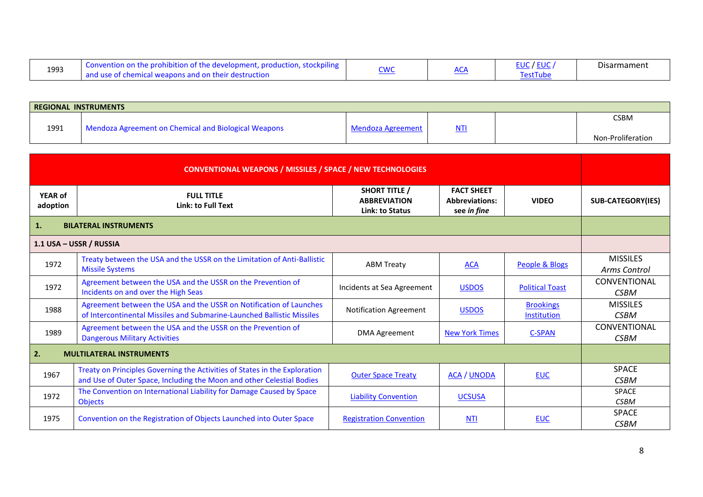| 1993 | stockpiling<br>Convention<br>tion of the devel<br>T. production.<br>opment.<br>ı or<br>-the-proi<br>struction!<br>and use of chemical weapons and on their dest | ч. | $\overline{\phantom{a}}$<br>שר | $-1.1 - 1.0$<br>/ EUC<br>∟∪ພ<br>FestTube | Disarmament |
|------|-----------------------------------------------------------------------------------------------------------------------------------------------------------------|----|--------------------------------|------------------------------------------|-------------|
|------|-----------------------------------------------------------------------------------------------------------------------------------------------------------------|----|--------------------------------|------------------------------------------|-------------|

| REGIONAL INSTRUMENTS |                                                      |                   |     |  |                   |  |
|----------------------|------------------------------------------------------|-------------------|-----|--|-------------------|--|
|                      |                                                      |                   |     |  | <b>CSBM</b>       |  |
| 1991                 | Mendoza Agreement on Chemical and Biological Weapons | Mendoza Agreement | NTI |  |                   |  |
|                      |                                                      |                   |     |  | Non-Proliferation |  |

| <b>CONVENTIONAL WEAPONS / MISSILES / SPACE / NEW TECHNOLOGIES</b> |                                                                                                                                                     |                                                                |                                                           |                                 |                                    |
|-------------------------------------------------------------------|-----------------------------------------------------------------------------------------------------------------------------------------------------|----------------------------------------------------------------|-----------------------------------------------------------|---------------------------------|------------------------------------|
| <b>YEAR of</b><br>adoption                                        | <b>FULL TITLE</b><br><b>Link: to Full Text</b>                                                                                                      | <b>SHORT TITLE /</b><br><b>ABBREVIATION</b><br>Link: to Status | <b>FACT SHEET</b><br><b>Abbreviations:</b><br>see in fine | <b>VIDEO</b>                    | <b>SUB-CATEGORY(IES)</b>           |
| 1.                                                                | <b>BILATERAL INSTRUMENTS</b>                                                                                                                        |                                                                |                                                           |                                 |                                    |
|                                                                   | 1.1 USA - USSR / RUSSIA                                                                                                                             |                                                                |                                                           |                                 |                                    |
| 1972                                                              | Treaty between the USA and the USSR on the Limitation of Anti-Ballistic<br><b>Missile Systems</b>                                                   | <b>ABM Treaty</b>                                              | <b>ACA</b>                                                | People & Blogs                  | <b>MISSILES</b><br>Arms Control    |
| 1972                                                              | Agreement between the USA and the USSR on the Prevention of<br>Incidents on and over the High Seas                                                  | Incidents at Sea Agreement                                     | <b>USDOS</b>                                              | <b>Political Toast</b>          | <b>CONVENTIONAL</b><br><b>CSBM</b> |
| 1988                                                              | Agreement between the USA and the USSR on Notification of Launches<br>of Intercontinental Missiles and Submarine-Launched Ballistic Missiles        | <b>Notification Agreement</b>                                  | <b>USDOS</b>                                              | <b>Brookings</b><br>Institution | <b>MISSILES</b><br><b>CSBM</b>     |
| 1989                                                              | Agreement between the USA and the USSR on the Prevention of<br><b>Dangerous Military Activities</b>                                                 | <b>DMA Agreement</b>                                           | <b>New York Times</b>                                     | <b>C-SPAN</b>                   | CONVENTIONAL<br><b>CSBM</b>        |
| 2.                                                                | <b>MULTILATERAL INSTRUMENTS</b>                                                                                                                     |                                                                |                                                           |                                 |                                    |
| 1967                                                              | Treaty on Principles Governing the Activities of States in the Exploration<br>and Use of Outer Space, Including the Moon and other Celestial Bodies | <b>Outer Space Treaty</b>                                      | <b>ACA / UNODA</b>                                        | <b>EUC</b>                      | <b>SPACE</b><br><b>CSBM</b>        |
| 1972                                                              | The Convention on International Liability for Damage Caused by Space<br><b>Objects</b>                                                              | <b>Liability Convention</b>                                    | <b>UCSUSA</b>                                             |                                 | <b>SPACE</b><br><b>CSBM</b>        |
| 1975                                                              | Convention on the Registration of Objects Launched into Outer Space                                                                                 | <b>Registration Convention</b>                                 | <b>NTI</b>                                                | <b>EUC</b>                      | <b>SPACE</b><br><b>CSBM</b>        |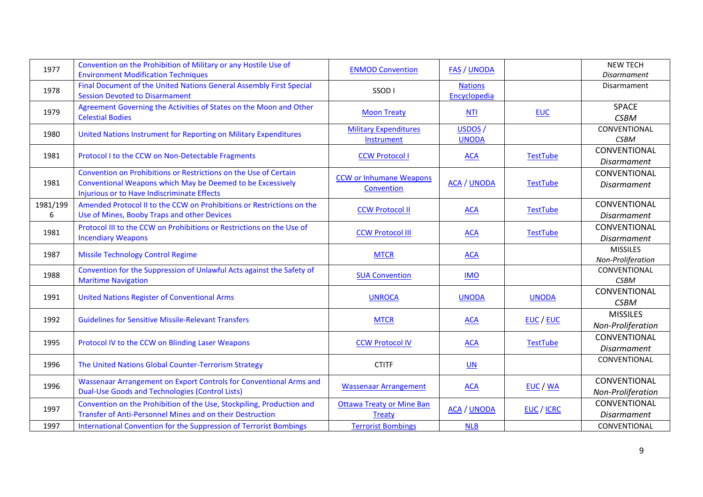| 1977     | Convention on the Prohibition of Military or any Hostile Use of                                                                    | <b>ENMOD Convention</b>                    | <b>FAS / UNODA</b> |                          | <b>NEW TECH</b>    |
|----------|------------------------------------------------------------------------------------------------------------------------------------|--------------------------------------------|--------------------|--------------------------|--------------------|
|          | <b>Environment Modification Techniques</b>                                                                                         |                                            |                    |                          | <b>Disarmament</b> |
| 1978     | Final Document of the United Nations General Assembly First Special                                                                | SSOD <sub>1</sub>                          | <b>Nations</b>     |                          | Disarmament        |
|          | <b>Session Devoted to Disarmament</b>                                                                                              |                                            | Encyclopedia       |                          | <b>SPACE</b>       |
| 1979     | Agreement Governing the Activities of States on the Moon and Other<br><b>Celestial Bodies</b>                                      | <b>Moon Treaty</b>                         | <b>NTI</b>         | <b>EUC</b>               | <b>CSBM</b>        |
|          |                                                                                                                                    | <b>Military Expenditures</b>               | USDOS /            |                          | CONVENTIONAL       |
| 1980     | United Nations Instrument for Reporting on Military Expenditures                                                                   | Instrument                                 | <b>UNODA</b>       |                          | <b>CSBM</b>        |
|          |                                                                                                                                    |                                            |                    |                          | CONVENTIONAL       |
| 1981     | Protocol I to the CCW on Non-Detectable Fragments                                                                                  | <b>CCW Protocol I</b>                      | <b>ACA</b>         | <b>TestTube</b>          | <b>Disarmament</b> |
|          | Convention on Prohibitions or Restrictions on the Use of Certain                                                                   |                                            |                    |                          | CONVENTIONAL       |
| 1981     | Conventional Weapons which May be Deemed to be Excessively                                                                         | <b>CCW or Inhumane Weapons</b>             | <b>ACA / UNODA</b> | <b>TestTube</b>          | Disarmament        |
|          | Injurious or to Have Indiscriminate Effects                                                                                        | Convention                                 |                    |                          |                    |
| 1981/199 | Amended Protocol II to the CCW on Prohibitions or Restrictions on the                                                              |                                            |                    |                          | CONVENTIONAL       |
| 6        | Use of Mines, Booby Traps and other Devices                                                                                        | <b>CCW Protocol II</b>                     | <b>ACA</b>         | <b>TestTube</b>          | <b>Disarmament</b> |
| 1981     | Protocol III to the CCW on Prohibitions or Restrictions on the Use of                                                              |                                            |                    |                          | CONVENTIONAL       |
|          | <b>Incendiary Weapons</b>                                                                                                          | <b>CCW Protocol III</b>                    | <b>ACA</b>         | <b>TestTube</b>          | <b>Disarmament</b> |
| 1987     | <b>Missile Technology Control Regime</b>                                                                                           | <b>MTCR</b>                                | <b>ACA</b>         |                          | <b>MISSILES</b>    |
|          |                                                                                                                                    |                                            |                    |                          | Non-Proliferation  |
| 1988     | Convention for the Suppression of Unlawful Acts against the Safety of                                                              | <b>SUA Convention</b>                      | <b>IMO</b>         |                          | CONVENTIONAL       |
|          | <b>Maritime Navigation</b>                                                                                                         |                                            |                    |                          | <b>CSBM</b>        |
| 1991     | <b>United Nations Register of Conventional Arms</b>                                                                                | <b>UNROCA</b>                              | <b>UNODA</b>       | <b>UNODA</b>             | CONVENTIONAL       |
|          |                                                                                                                                    |                                            |                    |                          | <b>CSBM</b>        |
| 1992     | <b>Guidelines for Sensitive Missile-Relevant Transfers</b>                                                                         | <b>MTCR</b>                                | <b>ACA</b>         | <b>EUC / EUC</b>         | <b>MISSILES</b>    |
|          |                                                                                                                                    |                                            |                    |                          | Non-Proliferation  |
| 1995     | Protocol IV to the CCW on Blinding Laser Weapons                                                                                   | <b>CCW Protocol IV</b>                     | <b>ACA</b>         | <b>TestTube</b>          | CONVENTIONAL       |
|          |                                                                                                                                    |                                            |                    |                          | <b>Disarmament</b> |
| 1996     | The United Nations Global Counter-Terrorism Strategy                                                                               | <b>CTITF</b>                               | UN                 |                          | CONVENTIONAL       |
|          |                                                                                                                                    |                                            |                    |                          | CONVENTIONAL       |
| 1996     | Wassenaar Arrangement on Export Controls for Conventional Arms and<br><b>Dual-Use Goods and Technologies (Control Lists)</b>       | <b>Wassenaar Arrangement</b>               | <b>ACA</b>         | EUC / WA                 | Non-Proliferation  |
|          |                                                                                                                                    |                                            |                    |                          | CONVENTIONAL       |
| 1997     | Convention on the Prohibition of the Use, Stockpiling, Production and<br>Transfer of Anti-Personnel Mines and on their Destruction | <b>Ottawa Treaty or Mine Ban</b><br>Treaty | <b>ACA / UNODA</b> | <b>EUC</b> / <b>ICRC</b> | <b>Disarmament</b> |
| 1997     |                                                                                                                                    | <b>Terrorist Bombings</b>                  |                    |                          | CONVENTIONAL       |
|          | International Convention for the Suppression of Terrorist Bombings                                                                 |                                            | <b>NLB</b>         |                          |                    |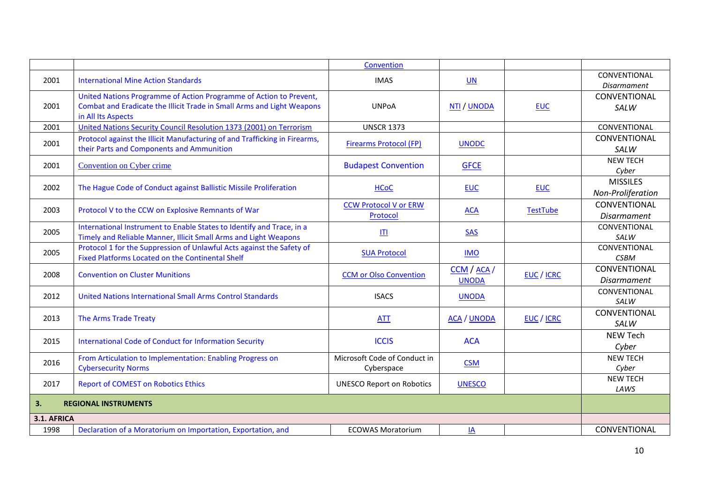|                                   |                                                                                                                                                                    | Convention                                 |                             |                   |                                      |
|-----------------------------------|--------------------------------------------------------------------------------------------------------------------------------------------------------------------|--------------------------------------------|-----------------------------|-------------------|--------------------------------------|
| 2001                              | <b>International Mine Action Standards</b>                                                                                                                         | <b>IMAS</b>                                | UN                          |                   | CONVENTIONAL<br><b>Disarmament</b>   |
| 2001                              | United Nations Programme of Action Programme of Action to Prevent,<br>Combat and Eradicate the Illicit Trade in Small Arms and Light Weapons<br>in All Its Aspects | <b>UNPoA</b>                               | NTI / UNODA                 | <b>EUC</b>        | CONVENTIONAL<br>SALW                 |
| 2001                              | United Nations Security Council Resolution 1373 (2001) on Terrorism                                                                                                | <b>UNSCR 1373</b>                          |                             |                   | CONVENTIONAL                         |
| 2001                              | Protocol against the Illicit Manufacturing of and Trafficking in Firearms,<br>their Parts and Components and Ammunition                                            | <b>Firearms Protocol (FP)</b>              | <b>UNODC</b>                |                   | CONVENTIONAL<br>SALW                 |
| 2001                              | <b>Convention on Cyber crime</b>                                                                                                                                   | <b>Budapest Convention</b>                 | <b>GFCE</b>                 |                   | <b>NEW TECH</b><br>Cyber             |
| 2002                              | The Hague Code of Conduct against Ballistic Missile Proliferation                                                                                                  | <b>HCoC</b>                                | <b>EUC</b>                  | <b>EUC</b>        | <b>MISSILES</b><br>Non-Proliferation |
| 2003                              | Protocol V to the CCW on Explosive Remnants of War                                                                                                                 | <b>CCW Protocol V or ERW</b><br>Protocol   | <b>ACA</b>                  | <b>TestTube</b>   | CONVENTIONAL<br><b>Disarmament</b>   |
| 2005                              | International Instrument to Enable States to Identify and Trace, in a<br>Timely and Reliable Manner, Illicit Small Arms and Light Weapons                          | ITI                                        | <b>SAS</b>                  |                   | CONVENTIONAL<br>SALW                 |
| 2005                              | Protocol 1 for the Suppression of Unlawful Acts against the Safety of<br>Fixed Platforms Located on the Continental Shelf                                          | <b>SUA Protocol</b>                        | <b>IMO</b>                  |                   | CONVENTIONAL<br><b>CSBM</b>          |
| 2008                              | <b>Convention on Cluster Munitions</b>                                                                                                                             | <b>CCM</b> or Olso Convention              | CCM / ACA /<br><b>UNODA</b> | <b>EUC</b> / ICRC | CONVENTIONAL<br><b>Disarmament</b>   |
| 2012                              | United Nations International Small Arms Control Standards                                                                                                          | <b>ISACS</b>                               | <b>UNODA</b>                |                   | CONVENTIONAL<br>SALW                 |
| 2013                              | The Arms Trade Treaty                                                                                                                                              | <b>ATT</b>                                 | <b>ACA / UNODA</b>          | EUC / ICRC        | CONVENTIONAL<br>SALW                 |
| 2015                              | <b>International Code of Conduct for Information Security</b>                                                                                                      | <b>ICCIS</b>                               | <b>ACA</b>                  |                   | <b>NEW Tech</b><br>Cyber             |
| 2016                              | From Articulation to Implementation: Enabling Progress on<br><b>Cybersecurity Norms</b>                                                                            | Microsoft Code of Conduct in<br>Cyberspace | <b>CSM</b>                  |                   | <b>NEW TECH</b><br>Cyber             |
| 2017                              | <b>Report of COMEST on Robotics Ethics</b>                                                                                                                         | <b>UNESCO Report on Robotics</b>           | <b>UNESCO</b>               |                   | <b>NEW TECH</b><br>LAWS              |
| 3.<br><b>REGIONAL INSTRUMENTS</b> |                                                                                                                                                                    |                                            |                             |                   |                                      |
| 3.1. AFRICA                       |                                                                                                                                                                    |                                            |                             |                   |                                      |
| 1998                              | Declaration of a Moratorium on Importation, Exportation, and                                                                                                       | <b>ECOWAS Moratorium</b>                   | $\underline{IA}$            |                   | CONVENTIONAL                         |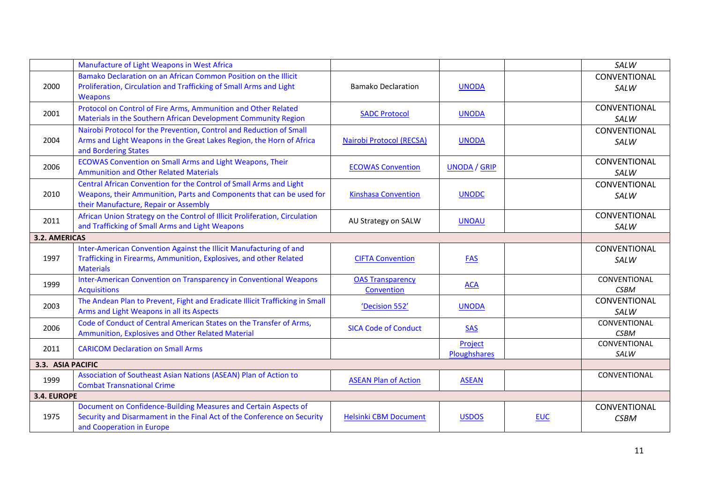|                      | Manufacture of Light Weapons in West Africa                                                                                                                                         |                                       |                         |            | SALW                        |
|----------------------|-------------------------------------------------------------------------------------------------------------------------------------------------------------------------------------|---------------------------------------|-------------------------|------------|-----------------------------|
| 2000                 | Bamako Declaration on an African Common Position on the Illicit<br>Proliferation, Circulation and Trafficking of Small Arms and Light<br><b>Weapons</b>                             | <b>Bamako Declaration</b>             | <b>UNODA</b>            |            | CONVENTIONAL<br>SALW        |
| 2001                 | Protocol on Control of Fire Arms, Ammunition and Other Related<br>Materials in the Southern African Development Community Region                                                    | <b>SADC Protocol</b>                  | <b>UNODA</b>            |            | CONVENTIONAL<br>SALW        |
| 2004                 | Nairobi Protocol for the Prevention, Control and Reduction of Small<br>Arms and Light Weapons in the Great Lakes Region, the Horn of Africa<br>and Bordering States                 | Nairobi Protocol (RECSA)              | <b>UNODA</b>            |            | CONVENTIONAL<br>SALW        |
| 2006                 | ECOWAS Convention on Small Arms and Light Weapons, Their<br><b>Ammunition and Other Related Materials</b>                                                                           | <b>ECOWAS Convention</b>              | <b>UNODA / GRIP</b>     |            | CONVENTIONAL<br>SALW        |
| 2010                 | Central African Convention for the Control of Small Arms and Light<br>Weapons, their Ammunition, Parts and Components that can be used for<br>their Manufacture, Repair or Assembly | <b>Kinshasa Convention</b>            | <b>UNODC</b>            |            | CONVENTIONAL<br>SALW        |
| 2011                 | African Union Strategy on the Control of Illicit Proliferation, Circulation<br>and Trafficking of Small Arms and Light Weapons                                                      | AU Strategy on SALW                   | <b>UNOAU</b>            |            | CONVENTIONAL<br>SALW        |
| <b>3.2. AMERICAS</b> |                                                                                                                                                                                     |                                       |                         |            |                             |
| 1997                 | Inter-American Convention Against the Illicit Manufacturing of and<br>Trafficking in Firearms, Ammunition, Explosives, and other Related<br><b>Materials</b>                        | <b>CIFTA Convention</b>               | <b>FAS</b>              |            | CONVENTIONAL<br>SALW        |
| 1999                 | Inter-American Convention on Transparency in Conventional Weapons<br><b>Acquisitions</b>                                                                                            | <b>OAS Transparency</b><br>Convention | <b>ACA</b>              |            | CONVENTIONAL<br><b>CSBM</b> |
| 2003                 | The Andean Plan to Prevent, Fight and Eradicate Illicit Trafficking in Small<br>Arms and Light Weapons in all its Aspects                                                           | 'Decision 552'                        | <b>UNODA</b>            |            | CONVENTIONAL<br>SALW        |
| 2006                 | Code of Conduct of Central American States on the Transfer of Arms,<br>Ammunition, Explosives and Other Related Material                                                            | <b>SICA Code of Conduct</b>           | <b>SAS</b>              |            | CONVENTIONAL<br><b>CSBM</b> |
| 2011                 | <b>CARICOM Declaration on Small Arms</b>                                                                                                                                            |                                       | Project<br>Ploughshares |            | CONVENTIONAL<br>SALW        |
| 3.3. ASIA PACIFIC    |                                                                                                                                                                                     |                                       |                         |            |                             |
| 1999                 | Association of Southeast Asian Nations (ASEAN) Plan of Action to<br><b>Combat Transnational Crime</b>                                                                               | <b>ASEAN Plan of Action</b>           | <b>ASEAN</b>            |            | CONVENTIONAL                |
| 3.4. EUROPE          |                                                                                                                                                                                     |                                       |                         |            |                             |
| 1975                 | Document on Confidence-Building Measures and Certain Aspects of<br>Security and Disarmament in the Final Act of the Conference on Security<br>and Cooperation in Europe             | <b>Helsinki CBM Document</b>          | <b>USDOS</b>            | <b>EUC</b> | CONVENTIONAL<br><b>CSBM</b> |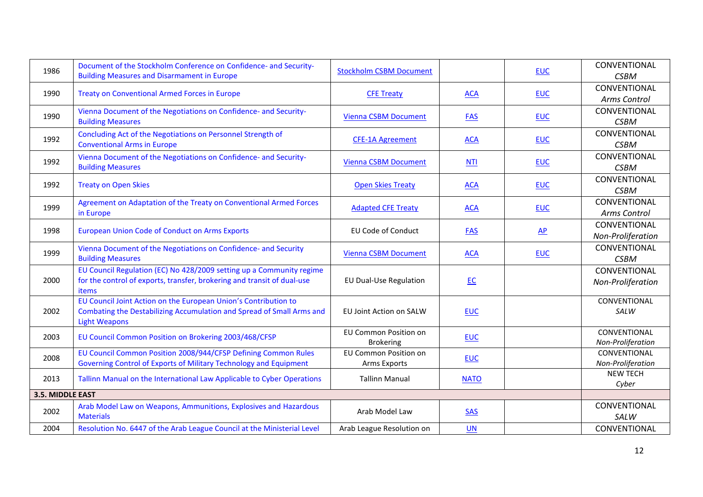| 1986             | Document of the Stockholm Conference on Confidence- and Security-                                                                               | <b>Stockholm CSBM Document</b>                      |             |              | CONVENTIONAL      |
|------------------|-------------------------------------------------------------------------------------------------------------------------------------------------|-----------------------------------------------------|-------------|--------------|-------------------|
|                  | <b>Building Measures and Disarmament in Europe</b>                                                                                              |                                                     |             | <b>EUC</b>   | <b>CSBM</b>       |
| 1990             | <b>Treaty on Conventional Armed Forces in Europe</b>                                                                                            | <b>CFE Treaty</b>                                   | <b>ACA</b>  | <b>EUC</b>   | CONVENTIONAL      |
|                  |                                                                                                                                                 |                                                     |             |              | Arms Control      |
| 1990             | Vienna Document of the Negotiations on Confidence- and Security-                                                                                | <b>Vienna CSBM Document</b>                         | <b>FAS</b>  | <b>EUC</b>   | CONVENTIONAL      |
|                  | <b>Building Measures</b>                                                                                                                        |                                                     |             |              | <b>CSBM</b>       |
| 1992             | Concluding Act of the Negotiations on Personnel Strength of                                                                                     | <b>CFE-1A Agreement</b>                             | <b>ACA</b>  | <b>EUC</b>   | CONVENTIONAL      |
|                  | <b>Conventional Arms in Europe</b>                                                                                                              |                                                     |             |              | <b>CSBM</b>       |
| 1992             | Vienna Document of the Negotiations on Confidence- and Security-<br><b>Building Measures</b>                                                    | <b>Vienna CSBM Document</b>                         | <b>NTI</b>  | <b>EUC</b>   | CONVENTIONAL      |
|                  |                                                                                                                                                 |                                                     |             |              | <b>CSBM</b>       |
| 1992             | <b>Treaty on Open Skies</b>                                                                                                                     | <b>Open Skies Treaty</b>                            | <b>ACA</b>  | <b>EUC</b>   | CONVENTIONAL      |
|                  |                                                                                                                                                 |                                                     |             |              | <b>CSBM</b>       |
| 1999             | Agreement on Adaptation of the Treaty on Conventional Armed Forces<br>in Europe                                                                 | <b>Adapted CFE Treaty</b>                           | <b>ACA</b>  | <b>EUC</b>   | CONVENTIONAL      |
|                  |                                                                                                                                                 |                                                     |             |              | Arms Control      |
| 1998             | <b>European Union Code of Conduct on Arms Exports</b>                                                                                           | <b>EU Code of Conduct</b>                           | <b>FAS</b>  | $\mathbf{A}$ | CONVENTIONAL      |
|                  |                                                                                                                                                 |                                                     |             |              | Non-Proliferation |
| 1999             | Vienna Document of the Negotiations on Confidence- and Security                                                                                 | <b>Vienna CSBM Document</b>                         | <b>ACA</b>  | <b>EUC</b>   | CONVENTIONAL      |
|                  | <b>Building Measures</b>                                                                                                                        |                                                     |             |              | <b>CSBM</b>       |
|                  | EU Council Regulation (EC) No 428/2009 setting up a Community regime<br>for the control of exports, transfer, brokering and transit of dual-use | <b>EU Dual-Use Regulation</b>                       | E           |              | CONVENTIONAL      |
| 2000             |                                                                                                                                                 |                                                     |             |              | Non-Proliferation |
|                  | items<br>EU Council Joint Action on the European Union's Contribution to                                                                        |                                                     |             |              | CONVENTIONAL      |
| 2002             | Combating the Destabilizing Accumulation and Spread of Small Arms and<br><b>Light Weapons</b>                                                   | EU Joint Action on SALW                             | <b>EUC</b>  |              | SALW              |
|                  |                                                                                                                                                 |                                                     |             |              |                   |
| 2003             |                                                                                                                                                 | <b>EU Common Position on</b>                        |             |              | CONVENTIONAL      |
|                  | EU Council Common Position on Brokering 2003/468/CFSP                                                                                           | <b>Brokering</b>                                    | <b>EUC</b>  |              | Non-Proliferation |
| 2008             | EU Council Common Position 2008/944/CFSP Defining Common Rules<br>Governing Control of Exports of Military Technology and Equipment             | <b>EU Common Position on</b><br><b>Arms Exports</b> | <b>EUC</b>  |              | CONVENTIONAL      |
|                  |                                                                                                                                                 |                                                     |             |              | Non-Proliferation |
| 2013             | Tallinn Manual on the International Law Applicable to Cyber Operations                                                                          | <b>Tallinn Manual</b>                               | <b>NATO</b> |              | <b>NEW TECH</b>   |
|                  |                                                                                                                                                 |                                                     |             |              | Cyber             |
| 3.5. MIDDLE EAST |                                                                                                                                                 |                                                     |             |              |                   |
| 2002             | Arab Model Law on Weapons, Ammunitions, Explosives and Hazardous<br><b>Materials</b>                                                            | Arab Model Law                                      | <b>SAS</b>  |              | CONVENTIONAL      |
|                  |                                                                                                                                                 |                                                     |             |              | SALW              |
| 2004             | Resolution No. 6447 of the Arab League Council at the Ministerial Level                                                                         | Arab League Resolution on                           | <b>UN</b>   |              | CONVENTIONAL      |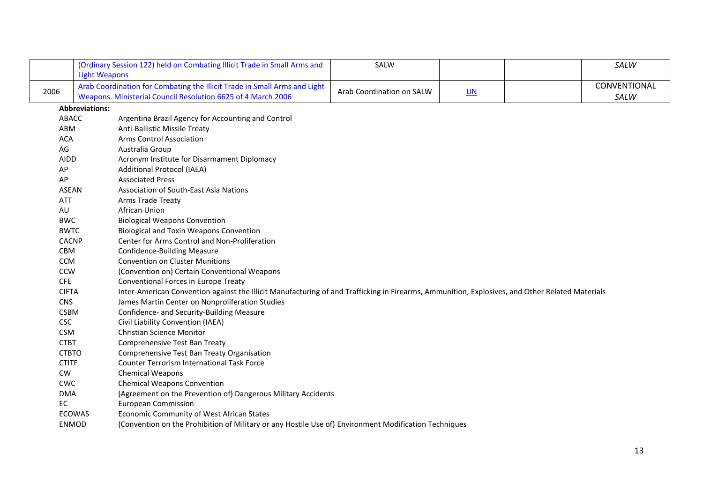|              |                       | (Ordinary Session 122) held on Combating Illicit Trade in Small Arms and                                                                        | SALW                      |      | SALW         |
|--------------|-----------------------|-------------------------------------------------------------------------------------------------------------------------------------------------|---------------------------|------|--------------|
|              | <b>Light Weapons</b>  |                                                                                                                                                 |                           |      |              |
| 2006         |                       | Arab Coordination for Combating the Illicit Trade in Small Arms and Light                                                                       | Arab Coordination on SALW | $UN$ | CONVENTIONAL |
|              |                       | Weapons. Ministerial Council Resolution 6625 of 4 March 2006                                                                                    |                           |      | SALW         |
|              | <b>Abbreviations:</b> |                                                                                                                                                 |                           |      |              |
| ABACC        |                       | Argentina Brazil Agency for Accounting and Control                                                                                              |                           |      |              |
| ABM          |                       | Anti-Ballistic Missile Treaty                                                                                                                   |                           |      |              |
| <b>ACA</b>   |                       | <b>Arms Control Association</b>                                                                                                                 |                           |      |              |
| AG           |                       | Australia Group                                                                                                                                 |                           |      |              |
| <b>AIDD</b>  |                       | Acronym Institute for Disarmament Diplomacy                                                                                                     |                           |      |              |
| AP           |                       | <b>Additional Protocol (IAEA)</b>                                                                                                               |                           |      |              |
| AP           |                       | <b>Associated Press</b>                                                                                                                         |                           |      |              |
| <b>ASEAN</b> |                       | Association of South-East Asia Nations                                                                                                          |                           |      |              |
| <b>ATT</b>   |                       | Arms Trade Treaty                                                                                                                               |                           |      |              |
| AU           |                       | African Union                                                                                                                                   |                           |      |              |
| <b>BWC</b>   |                       | <b>Biological Weapons Convention</b>                                                                                                            |                           |      |              |
| <b>BWTC</b>  |                       | <b>Biological and Toxin Weapons Convention</b>                                                                                                  |                           |      |              |
| <b>CACNP</b> |                       | Center for Arms Control and Non-Proliferation                                                                                                   |                           |      |              |
| CBM          |                       | <b>Confidence-Building Measure</b>                                                                                                              |                           |      |              |
| <b>CCM</b>   |                       | <b>Convention on Cluster Munitions</b>                                                                                                          |                           |      |              |
| <b>CCW</b>   |                       | (Convention on) Certain Conventional Weapons                                                                                                    |                           |      |              |
| <b>CFE</b>   |                       | Conventional Forces in Europe Treaty                                                                                                            |                           |      |              |
| <b>CIFTA</b> |                       | Inter-American Convention against the Illicit Manufacturing of and Trafficking in Firearms, Ammunition, Explosives, and Other Related Materials |                           |      |              |
| <b>CNS</b>   |                       | James Martin Center on Nonproliferation Studies                                                                                                 |                           |      |              |
| <b>CSBM</b>  |                       | Confidence- and Security-Building Measure                                                                                                       |                           |      |              |
| <b>CSC</b>   |                       | Civil Liability Convention (IAEA)                                                                                                               |                           |      |              |
| <b>CSM</b>   |                       | <b>Christian Science Monitor</b>                                                                                                                |                           |      |              |
| <b>CTBT</b>  |                       | Comprehensive Test Ban Treaty                                                                                                                   |                           |      |              |
| <b>CTBTO</b> |                       | Comprehensive Test Ban Treaty Organisation                                                                                                      |                           |      |              |
| <b>CTITF</b> |                       | <b>Counter Terrorism International Task Force</b>                                                                                               |                           |      |              |
| CW           |                       | <b>Chemical Weapons</b>                                                                                                                         |                           |      |              |
| <b>CWC</b>   |                       | <b>Chemical Weapons Convention</b>                                                                                                              |                           |      |              |
| <b>DMA</b>   |                       | (Agreement on the Prevention of) Dangerous Military Accidents                                                                                   |                           |      |              |
| EC           |                       | <b>European Commission</b>                                                                                                                      |                           |      |              |
|              | <b>ECOWAS</b>         | Economic Community of West African States                                                                                                       |                           |      |              |
| <b>ENMOD</b> |                       | (Convention on the Prohibition of Military or any Hostile Use of) Environment Modification Techniques                                           |                           |      |              |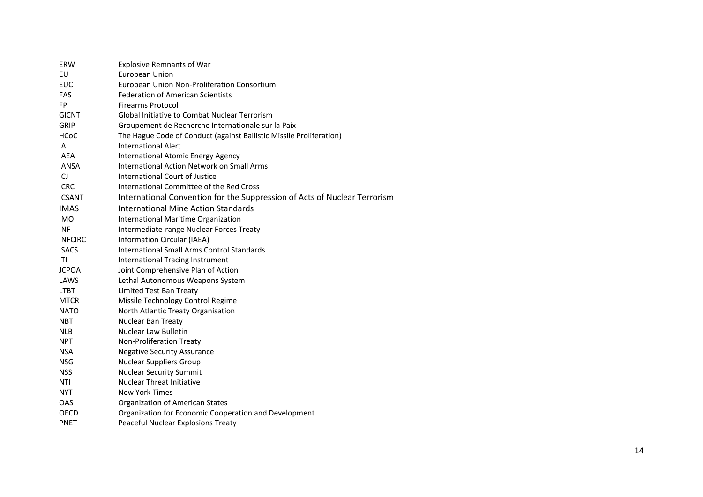| ERW            | <b>Explosive Remnants of War</b>                                          |
|----------------|---------------------------------------------------------------------------|
| EU             | <b>European Union</b>                                                     |
| <b>EUC</b>     | European Union Non-Proliferation Consortium                               |
| FAS            | <b>Federation of American Scientists</b>                                  |
| <b>FP</b>      | <b>Firearms Protocol</b>                                                  |
| <b>GICNT</b>   | Global Initiative to Combat Nuclear Terrorism                             |
| GRIP           | Groupement de Recherche Internationale sur la Paix                        |
| <b>HCoC</b>    | The Hague Code of Conduct (against Ballistic Missile Proliferation)       |
| IA             | <b>International Alert</b>                                                |
| <b>IAEA</b>    | <b>International Atomic Energy Agency</b>                                 |
| <b>IANSA</b>   | <b>International Action Network on Small Arms</b>                         |
| ICJ            | International Court of Justice                                            |
| <b>ICRC</b>    | International Committee of the Red Cross                                  |
| <b>ICSANT</b>  | International Convention for the Suppression of Acts of Nuclear Terrorism |
| <b>IMAS</b>    | International Mine Action Standards                                       |
| <b>IMO</b>     | International Maritime Organization                                       |
| <b>INF</b>     | Intermediate-range Nuclear Forces Treaty                                  |
| <b>INFCIRC</b> | Information Circular (IAEA)                                               |
| <b>ISACS</b>   | <b>International Small Arms Control Standards</b>                         |
| ITI            | <b>International Tracing Instrument</b>                                   |
| <b>JCPOA</b>   | Joint Comprehensive Plan of Action                                        |
| LAWS           | Lethal Autonomous Weapons System                                          |
| <b>LTBT</b>    | Limited Test Ban Treaty                                                   |
| <b>MTCR</b>    | Missile Technology Control Regime                                         |
| <b>NATO</b>    | North Atlantic Treaty Organisation                                        |
| <b>NBT</b>     | Nuclear Ban Treaty                                                        |
| <b>NLB</b>     | Nuclear Law Bulletin                                                      |
| <b>NPT</b>     | Non-Proliferation Treaty                                                  |
| <b>NSA</b>     | <b>Negative Security Assurance</b>                                        |
| <b>NSG</b>     | <b>Nuclear Suppliers Group</b>                                            |
| <b>NSS</b>     | <b>Nuclear Security Summit</b>                                            |
| <b>NTI</b>     | <b>Nuclear Threat Initiative</b>                                          |
| <b>NYT</b>     | <b>New York Times</b>                                                     |
| OAS            | <b>Organization of American States</b>                                    |
| <b>OECD</b>    | Organization for Economic Cooperation and Development                     |
| <b>PNET</b>    | Peaceful Nuclear Explosions Treaty                                        |